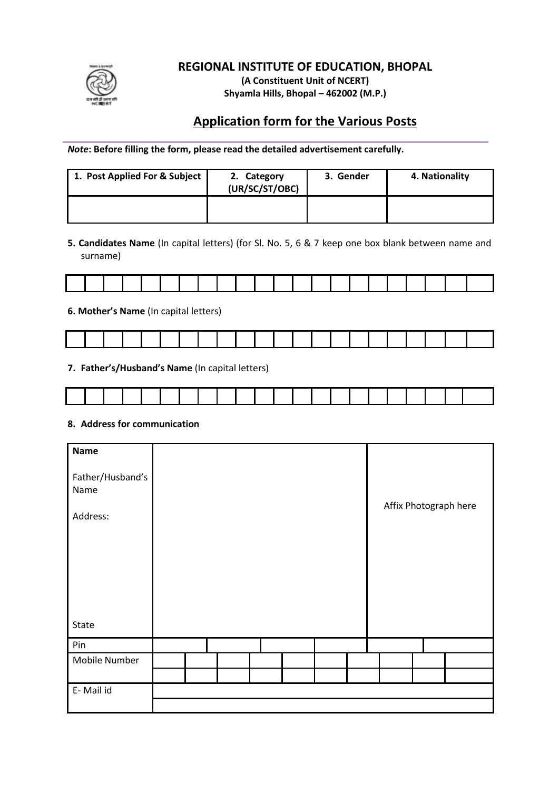

## **REGIONAL INSTITUTE OF EDUCATION, BHOPAL**

**(A Constituent Unit of NCERT) Shyamla Hills, Bhopal – 462002 (M.P.)**

# **Application form for the Various Posts**

*Note***: Before filling the form, please read the detailed advertisement carefully.**

| 1. Post Applied For & Subject | 2. Category<br>(UR/SC/ST/OBC) | 3. Gender | 4. Nationality |
|-------------------------------|-------------------------------|-----------|----------------|
|                               |                               |           |                |

**5. Candidates Name** (In capital letters) (for Sl. No. 5, 6 & 7 keep one box blank between name and surname)

|  |  |  |  |  | and the company of the company of the company of the company of the company of the company of the company of the |  |  |  |  | the contract of the contract of the contract of the contract of the contract of |  |
|--|--|--|--|--|------------------------------------------------------------------------------------------------------------------|--|--|--|--|---------------------------------------------------------------------------------|--|
|  |  |  |  |  |                                                                                                                  |  |  |  |  |                                                                                 |  |

#### **6. Mother's Name** (In capital letters)

|  |  |  |  |  |  |  | the contract of the contract of the contract of the contract of the contract of the contract of the contract of | <u>and the second contract of the second contract of the second contract of the second contract of the second contract of the second contract of the second contract of the second contract of the second contract of the second</u> | the contract of the contract of the contract of the contract of the contract of the contract of the contract of |  |  |
|--|--|--|--|--|--|--|-----------------------------------------------------------------------------------------------------------------|--------------------------------------------------------------------------------------------------------------------------------------------------------------------------------------------------------------------------------------|-----------------------------------------------------------------------------------------------------------------|--|--|
|  |  |  |  |  |  |  |                                                                                                                 |                                                                                                                                                                                                                                      |                                                                                                                 |  |  |

**7. Father's/Husband's Name** (In capital letters)

#### **8. Address for communication**

| <b>Name</b><br>Father/Husband's<br>Name<br>Address: |  |  |  |  | Affix Photograph here |
|-----------------------------------------------------|--|--|--|--|-----------------------|
| State                                               |  |  |  |  |                       |
| Pin                                                 |  |  |  |  |                       |
| Mobile Number                                       |  |  |  |  |                       |
|                                                     |  |  |  |  |                       |
| E-Mail id                                           |  |  |  |  |                       |
|                                                     |  |  |  |  |                       |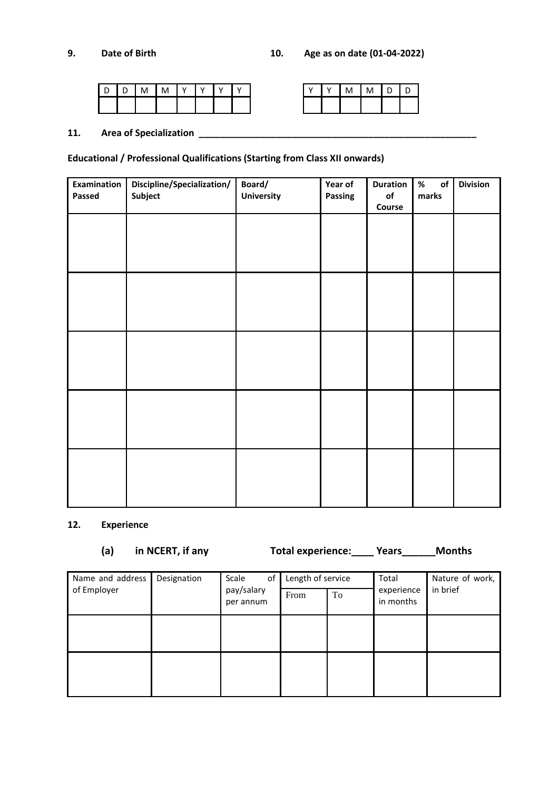|  | M | M | D | D |
|--|---|---|---|---|
|  |   |   |   |   |

#### **11. Area of Specialization \_\_\_\_\_\_\_\_\_\_\_\_\_\_\_\_\_\_\_\_\_\_\_\_\_\_\_\_\_\_\_\_\_\_\_\_\_\_\_\_\_\_\_\_\_\_\_\_\_\_\_\_\_\_**

### **Educational / Professional Qualifications (Starting from Class XII onwards)**

| Examination | Discipline/Specialization/ | Board/     | Year of | <b>Duration</b>         | $\%$<br>$\mathsf{of}$ | <b>Division</b> |
|-------------|----------------------------|------------|---------|-------------------------|-----------------------|-----------------|
| Passed      | Subject                    | University | Passing | $\mathsf{of}$<br>Course | marks                 |                 |
|             |                            |            |         |                         |                       |                 |
|             |                            |            |         |                         |                       |                 |
|             |                            |            |         |                         |                       |                 |
|             |                            |            |         |                         |                       |                 |
|             |                            |            |         |                         |                       |                 |
|             |                            |            |         |                         |                       |                 |
|             |                            |            |         |                         |                       |                 |
|             |                            |            |         |                         |                       |                 |
|             |                            |            |         |                         |                       |                 |
|             |                            |            |         |                         |                       |                 |
|             |                            |            |         |                         |                       |                 |
|             |                            |            |         |                         |                       |                 |
|             |                            |            |         |                         |                       |                 |
|             |                            |            |         |                         |                       |                 |
|             |                            |            |         |                         |                       |                 |
|             |                            |            |         |                         |                       |                 |
|             |                            |            |         |                         |                       |                 |
|             |                            |            |         |                         |                       |                 |

### **12. Experience**

**(a) in NCERT, if any Total experience:\_\_\_\_ Years\_\_\_\_\_\_Months**

| Name and address | Designation | Scale<br>of             | Length of service |    | Total                   | Nature of work, |
|------------------|-------------|-------------------------|-------------------|----|-------------------------|-----------------|
| of Employer      |             | pay/salary<br>per annum | From              | To | experience<br>in months | in brief        |
|                  |             |                         |                   |    |                         |                 |
|                  |             |                         |                   |    |                         |                 |